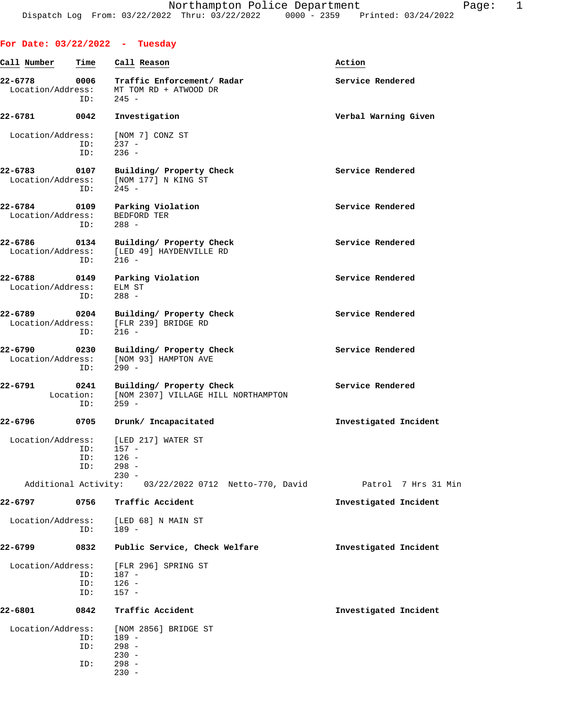**For Date: 03/22/2022 - Tuesday**

230 -

## **Call Number Time Call Reason Action 22-6778 0006 Traffic Enforcement/ Radar Service Rendered** Location/Address: MT TOM RD + ATWOOD DR ID: 245 - **22-6781 0042 Investigation Verbal Warning Given** Location/Address: [NOM 7] CONZ ST ID: 237 - ID: 236 - **22-6783 0107 Building/ Property Check Service Rendered** Location/Address: [NOM 177] N KING ST ID: 245 - **22-6784 0109 Parking Violation Service Rendered** Location/Address: BEDFORD TER ID: 288 - **22-6786 0134 Building/ Property Check Service Rendered** Location/Address: [LED 49] HAYDENVILLE RD ID: 216 - **22-6788 0149 Parking Violation Service Rendered** Location/Address: ELM ST ID: 288 - **22-6789 0204 Building/ Property Check Service Rendered** Location/Address: [FLR 239] BRIDGE RD Location/Address: ID: 216 - **22-6790 0230 Building/ Property Check Service Rendered** Execution/Address: [NOM 93] HAMPTON AVE [NOM 93] HAMPTON AVE ID: 290 - **22-6791 0241 Building/ Property Check Service Rendered** Location: [NOM 2307] VILLAGE HILL NORTHAMPTON ID: 259 - **22-6796 0705 Drunk/ Incapacitated Investigated Incident** Location/Address: [LED 217] WATER ST<br>ID: 157 - $157 -$  ID: 126 - ID: 298 - 230 - Additional Activity: 03/22/2022 0712 Netto-770, David Patrol 7 Hrs 31 Min **22-6797 0756 Traffic Accident Investigated Incident** Location/Address: [LED 68] N MAIN ST ID: 189 - **22-6799 0832 Public Service, Check Welfare Investigated Incident** Location/Address: [FLR 296] SPRING ST ID: 187 - ID: 126 - ID: 157 - **22-6801 0842 Traffic Accident Investigated Incident** Location/Address: [NOM 2856] BRIDGE ST ID: 189 - ID: 298 -<br>- 230 - $230 -$ ID: 298 -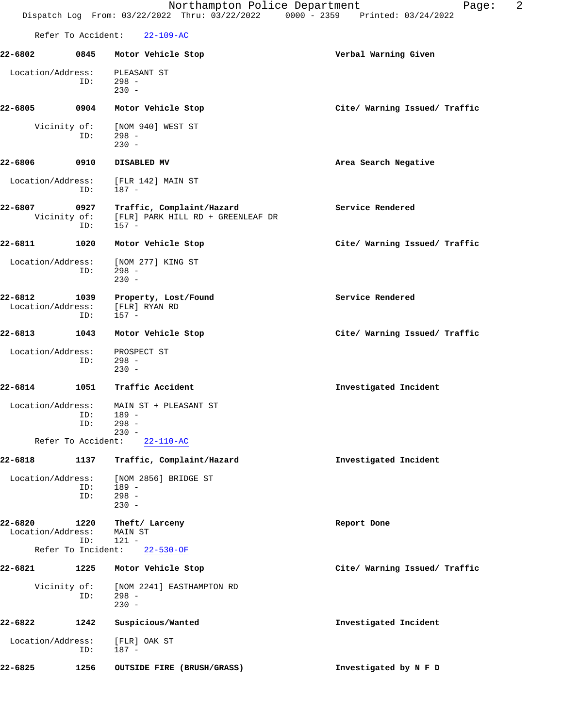|                              |                             | Northampton Police Department<br>Dispatch Log From: 03/22/2022 Thru: 03/22/2022 0000 - 2359 Printed: 03/24/2022 | 2<br>Page:                    |
|------------------------------|-----------------------------|-----------------------------------------------------------------------------------------------------------------|-------------------------------|
|                              | Refer To Accident:          | $22 - 109 - AC$                                                                                                 |                               |
| 22-6802                      | 0845                        | Motor Vehicle Stop                                                                                              | Verbal Warning Given          |
| Location/Address:            | ID:                         | PLEASANT ST<br>$298 -$<br>$230 -$                                                                               |                               |
| 22-6805                      | 0904                        | Motor Vehicle Stop                                                                                              | Cite/ Warning Issued/ Traffic |
|                              | Vicinity of:<br>ID:         | [NOM 940] WEST ST<br>$298 -$<br>$230 -$                                                                         |                               |
| 22-6806                      | 0910                        | DISABLED MV                                                                                                     | Area Search Negative          |
| Location/Address:            | ID:                         | [FLR 142] MAIN ST<br>187 -                                                                                      |                               |
| 22-6807                      | 0927<br>Vicinity of:<br>ID: | Traffic, Complaint/Hazard<br>[FLR] PARK HILL RD + GREENLEAF DR<br>$157 -$                                       | Service Rendered              |
| 22-6811                      | 1020                        | Motor Vehicle Stop                                                                                              | Cite/ Warning Issued/ Traffic |
| Location/Address:            | ID:                         | [NOM 277] KING ST<br>$298 -$<br>$230 -$                                                                         |                               |
| 22-6812<br>Location/Address: | 1039<br>ID:                 | Property, Lost/Found<br>[FLR] RYAN RD<br>$157 -$                                                                | Service Rendered              |
| 22-6813                      | 1043                        | Motor Vehicle Stop                                                                                              | Cite/ Warning Issued/ Traffic |
| Location/Address:            | ID:                         | PROSPECT ST<br>$298 -$<br>$230 -$                                                                               |                               |
| 22-6814                      | 1051                        | Traffic Accident                                                                                                | Investigated Incident         |
| Location/Address:            | ID:<br>ID:                  | MAIN ST + PLEASANT ST<br>189 -<br>$298 -$<br>$230 -$                                                            |                               |
|                              | Refer To Accident:          | $22 - 110 - AC$                                                                                                 |                               |
| 22-6818                      | 1137                        | Traffic, Complaint/Hazard                                                                                       | Investigated Incident         |
| Location/Address:            | ID:<br>ID:                  | [NOM 2856] BRIDGE ST<br>$189 -$<br>$298 -$<br>$230 -$                                                           |                               |
| 22-6820<br>Location/Address: | 1220<br>ID:                 | Theft/ Larceny<br>MAIN ST<br>$121 -$                                                                            | Report Done                   |
|                              | Refer To Incident:          | $22 - 530 - OF$                                                                                                 |                               |
| 22-6821                      | 1225                        | Motor Vehicle Stop                                                                                              | Cite/ Warning Issued/ Traffic |
| Vicinity of:                 | ID:                         | [NOM 2241] EASTHAMPTON RD<br>$298 -$<br>$230 -$                                                                 |                               |
| 22-6822                      | 1242                        | Suspicious/Wanted                                                                                               | Investigated Incident         |
| Location/Address:            |                             | [FLR] OAK ST                                                                                                    |                               |

**22-6825 1256 OUTSIDE FIRE (BRUSH/GRASS) Investigated by N F D**

ID: 187 -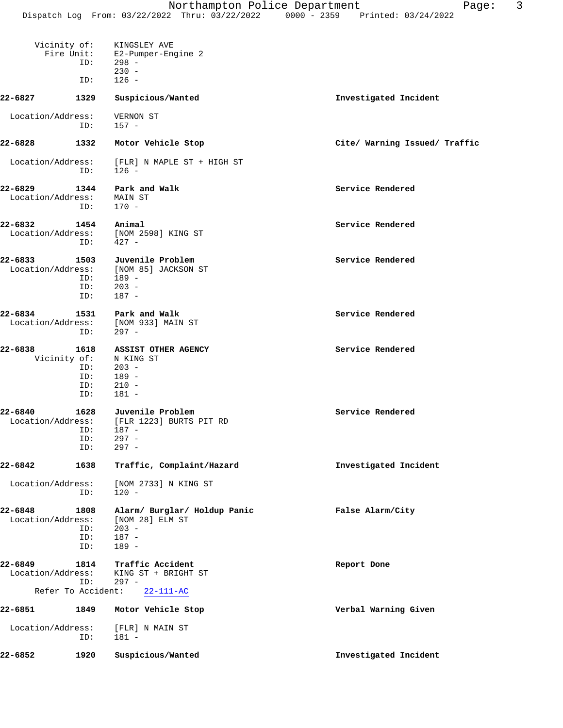|                              | ID:                                              | Vicinity of: KINGSLEY AVE<br>Fire Unit: E2-Pumper-Engine 2<br>$298 -$<br>$230 -$<br>$126 -$       |                               |
|------------------------------|--------------------------------------------------|---------------------------------------------------------------------------------------------------|-------------------------------|
| $22 - 6827$                  | ID:<br>1329                                      | Suspicious/Wanted                                                                                 | Investigated Incident         |
|                              |                                                  |                                                                                                   |                               |
| Location/Address:            | ID:                                              | VERNON ST<br>$157 -$                                                                              |                               |
| 22-6828                      | 1332                                             | Motor Vehicle Stop                                                                                | Cite/ Warning Issued/ Traffic |
| Location/Address:            | ID:                                              | [FLR] N MAPLE ST + HIGH ST<br>$126 -$                                                             |                               |
| 22-6829<br>Location/Address: | 1344<br>ID:                                      | Park and Walk<br>MAIN ST<br>$170 -$                                                               | Service Rendered              |
| 22-6832                      | 1454                                             | Animal<br>Location/Address: [NOM 2598] KING ST<br>$ID: 427 -$                                     | Service Rendered              |
| 22-6833<br>Location/Address: | 1503<br>ID:<br>ID:<br>ID:                        | Juvenile Problem<br>[NOM 85] JACKSON ST<br>$189 -$<br>$203 -$<br>187 -                            | Service Rendered              |
| 22-6834                      | ID:                                              | 1531 Park and Walk<br>Location/Address: [NOM 933] MAIN ST<br>297 -                                | Service Rendered              |
| 22-6838                      | 1618<br>Vicinity of:<br>ID:<br>ID:<br>ID:<br>ID: | <b>ASSIST OTHER AGENCY</b><br>N KING ST<br>$203 -$<br>189 -<br>$210 -$<br>$181 -$                 | Service Rendered              |
| 22-6840                      | ID:<br>ID:<br>ID:                                | 1628 Juvenile Problem<br>Location/Address: [FLR 1223] BURTS PIT RD<br>187 -<br>$297 -$<br>$297 -$ | Service Rendered              |
| 22-6842                      | 1638                                             | Traffic, Complaint/Hazard                                                                         | Investigated Incident         |
| Location/Address:            | ID:                                              | [NOM 2733] N KING ST<br>$120 -$                                                                   |                               |
| 22-6848<br>Location/Address: | 1808<br>ID:<br>ID:<br>ID:                        | Alarm/ Burglar/ Holdup Panic<br>[NOM 28] ELM ST<br>$203 -$<br>$187 -$<br>$189 -$                  | False Alarm/City              |
| 22-6849<br>Location/Address: | 1814<br>ID:                                      | Traffic Accident<br>KING ST + BRIGHT ST<br>$297 -$                                                | Report Done                   |
| 22-6851                      | Refer To Accident:<br>1849                       | $22 - 111 - AC$<br>Motor Vehicle Stop                                                             | Verbal Warning Given          |
| Location/Address:            |                                                  | [FLR] N MAIN ST                                                                                   |                               |
| 22-6852                      | ID:<br>1920                                      | $181 -$<br>Suspicious/Wanted                                                                      | Investigated Incident         |
|                              |                                                  |                                                                                                   |                               |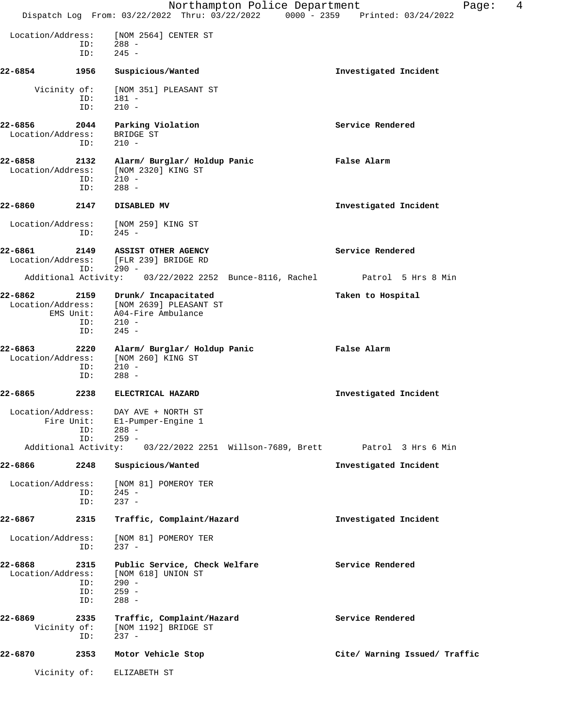|                                           |                           | Northampton Police Department<br>Dispatch Log From: 03/22/2022 Thru: 03/22/2022 0000 - 2359 Printed: 03/24/2022 | 4<br>Page:                    |  |
|-------------------------------------------|---------------------------|-----------------------------------------------------------------------------------------------------------------|-------------------------------|--|
| Location/Address:                         | ID:<br>ID:                | [NOM 2564] CENTER ST<br>$288 -$<br>$245 -$                                                                      |                               |  |
| 22-6854                                   | 1956                      | Suspicious/Wanted                                                                                               | Investigated Incident         |  |
| Vicinity of:                              | ID:<br>ID:                | [NOM 351] PLEASANT ST<br>181 -<br>$210 -$                                                                       |                               |  |
| 22-6856<br>Location/Address:              | 2044<br>ID:               | Parking Violation<br>BRIDGE ST<br>$210 -$                                                                       | Service Rendered              |  |
| 22-6858<br>Location/Address:              | 2132<br>ID:<br>ID:        | Alarm/ Burglar/ Holdup Panic<br>[NOM 2320] KING ST<br>$210 -$<br>$288 -$                                        | False Alarm                   |  |
| 22-6860                                   | 2147                      | DISABLED MV                                                                                                     | Investigated Incident         |  |
| Location/Address:                         | ID:                       | [NOM 259] KING ST<br>$245 -$                                                                                    |                               |  |
| 22-6861<br>Location/Address:              | 2149<br>ID:               | ASSIST OTHER AGENCY<br>[FLR 239] BRIDGE RD<br>$290 -$                                                           | Service Rendered              |  |
|                                           |                           | Additional Activity: 03/22/2022 2252 Bunce-8116, Rachel                                                         | Patrol 5 Hrs 8 Min            |  |
| 22-6862<br>Location/Address:<br>EMS Unit: | 2159<br>ID:<br>ID:        | Drunk/ Incapacitated<br>[NOM 2639] PLEASANT ST<br>A04-Fire Ambulance<br>$210 -$<br>$245 -$                      | Taken to Hospital             |  |
| 22-6863<br>Location/Address:              | 2220<br>ID:<br>ID:        | Alarm/ Burglar/ Holdup Panic<br>[NOM 260] KING ST<br>$210 -$<br>$288 -$                                         | False Alarm                   |  |
| 22-6865                                   | 2238                      | ELECTRICAL HAZARD                                                                                               | Investigated Incident         |  |
| Fire Unit:                                | ID:<br>ID:                | Location/Address: DAY AVE + NORTH ST<br>El-Pumper-Engine 1<br>$288 -$<br>$259 -$                                |                               |  |
|                                           |                           | Additional Activity: 03/22/2022 2251 Willson-7689, Brett                                                        | Patrol 3 Hrs 6 Min            |  |
| 22-6866                                   | 2248                      | Suspicious/Wanted                                                                                               | Investigated Incident         |  |
| Location/Address:                         | ID:<br>ID:                | [NOM 81] POMEROY TER<br>$245 -$<br>$237 -$                                                                      |                               |  |
| 22-6867                                   | 2315                      | Traffic, Complaint/Hazard                                                                                       | Investigated Incident         |  |
| Location/Address:                         | ID:                       | [NOM 81] POMEROY TER<br>$237 -$                                                                                 |                               |  |
| 22-6868<br>Location/Address:              | 2315<br>ID:<br>ID:<br>ID: | Public Service, Check Welfare<br>[NOM 618] UNION ST<br>$290 -$<br>$259 -$<br>$288 -$                            | Service Rendered              |  |
| 22-6869<br>Vicinity of:                   | 2335<br>ID:               | Traffic, Complaint/Hazard<br>[NOM 1192] BRIDGE ST<br>$237 -$                                                    | Service Rendered              |  |
| 22-6870                                   | 2353                      | Motor Vehicle Stop                                                                                              | Cite/ Warning Issued/ Traffic |  |
| Vicinity of:                              |                           | ELIZABETH ST                                                                                                    |                               |  |
|                                           |                           |                                                                                                                 |                               |  |